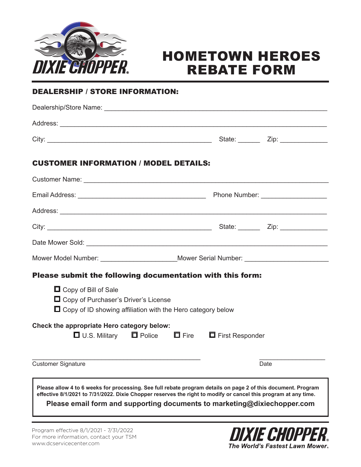

### HOMETOWN HEROES REBATE FORM

#### DEALERSHIP / STORE INFORMATION:

| <b>CUSTOMER INFORMATION / MODEL DETAILS:</b>                                                                                                                                                                                                                                                                 |                                                                                  |      |  |
|--------------------------------------------------------------------------------------------------------------------------------------------------------------------------------------------------------------------------------------------------------------------------------------------------------------|----------------------------------------------------------------------------------|------|--|
|                                                                                                                                                                                                                                                                                                              |                                                                                  |      |  |
|                                                                                                                                                                                                                                                                                                              |                                                                                  |      |  |
|                                                                                                                                                                                                                                                                                                              |                                                                                  |      |  |
|                                                                                                                                                                                                                                                                                                              |                                                                                  |      |  |
|                                                                                                                                                                                                                                                                                                              |                                                                                  |      |  |
|                                                                                                                                                                                                                                                                                                              | Mower Model Number: ________________________Mower Serial Number: _______________ |      |  |
| Please submit the following documentation with this form:                                                                                                                                                                                                                                                    |                                                                                  |      |  |
| □ Copy of Bill of Sale<br>$\Box$ Copy of Purchaser's Driver's License<br>$\Box$ Copy of ID showing affiliation with the Hero category below                                                                                                                                                                  |                                                                                  |      |  |
| Check the appropriate Hero category below:<br><b>□</b> U.S. Military □ Police □ Fire □ First Responder                                                                                                                                                                                                       |                                                                                  |      |  |
| <b>Customer Signature</b>                                                                                                                                                                                                                                                                                    |                                                                                  | Date |  |
| Please allow 4 to 6 weeks for processing. See full rebate program details on page 2 of this document. Program<br>effective 8/1/2021 to 7/31/2022. Dixie Chopper reserves the right to modify or cancel this program at any time.<br>Please email form and supporting documents to marketing@dixiechopper.com |                                                                                  |      |  |